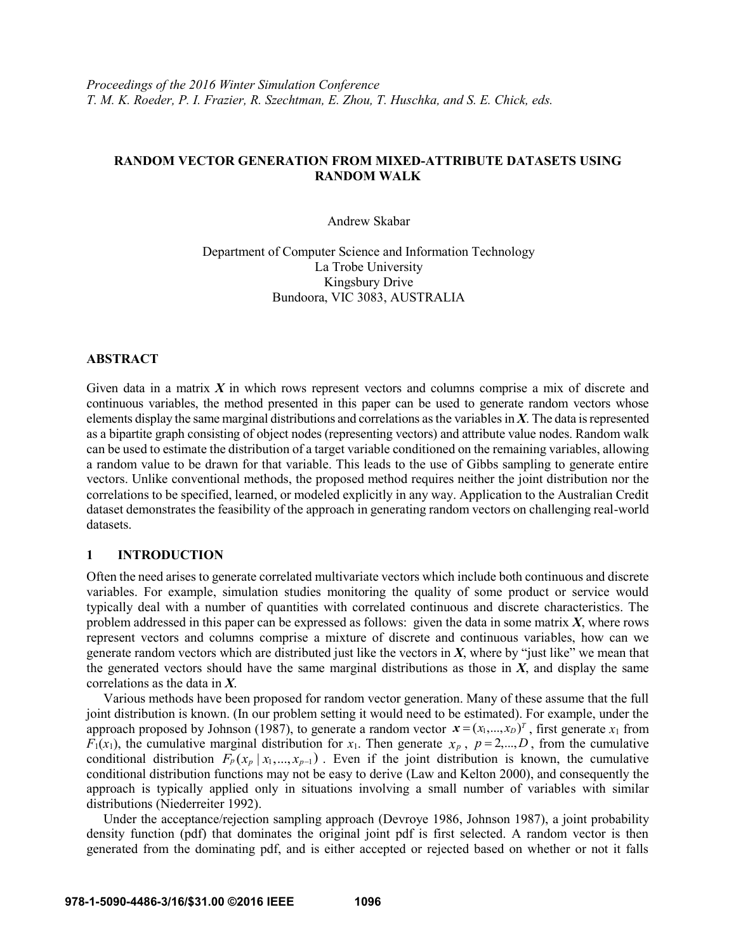# **RANDOM VECTOR GENERATION FROM MIXED-ATTRIBUTE DATASETS USING RANDOM WALK**

Andrew Skabar

Department of Computer Science and Information Technology La Trobe University Kingsbury Drive Bundoora, VIC 3083, AUSTRALIA

# **ABSTRACT**

Given data in a matrix *X* in which rows represent vectors and columns comprise a mix of discrete and continuous variables, the method presented in this paper can be used to generate random vectors whose elements display the same marginal distributions and correlations as the variables in *X*. The data is represented as a bipartite graph consisting of object nodes (representing vectors) and attribute value nodes. Random walk can be used to estimate the distribution of a target variable conditioned on the remaining variables, allowing a random value to be drawn for that variable. This leads to the use of Gibbs sampling to generate entire vectors. Unlike conventional methods, the proposed method requires neither the joint distribution nor the correlations to be specified, learned, or modeled explicitly in any way. Application to the Australian Credit dataset demonstrates the feasibility of the approach in generating random vectors on challenging real-world datasets.

# **1 INTRODUCTION**

Often the need arises to generate correlated multivariate vectors which include both continuous and discrete variables. For example, simulation studies monitoring the quality of some product or service would typically deal with a number of quantities with correlated continuous and discrete characteristics. The problem addressed in this paper can be expressed as follows: given the data in some matrix *X*, where rows represent vectors and columns comprise a mixture of discrete and continuous variables, how can we generate random vectors which are distributed just like the vectors in  $X$ , where by "just like" we mean that the generated vectors should have the same marginal distributions as those in  $X$ , and display the same correlations as the data in *X*.

Various methods have been proposed for random vector generation. Many of these assume that the full joint distribution is known. (In our problem setting it would need to be estimated). For example, under the approach proposed by Johnson (1987), to generate a random vector  $\mathbf{x} = (x_1, ..., x_D)^T$ , first generate  $x_1$  from  $F_1(x_1)$ , the cumulative marginal distribution for  $x_1$ . Then generate  $x_p$ ,  $p = 2,...,D$ , from the cumulative conditional distribution  $F_p(x_p | x_1, ..., x_{p-1})$ . Even if the joint distribution is known, the cumulative conditional distribution functions may not be easy to derive (Law and Kelton 2000), and consequently the approach is typically applied only in situations involving a small number of variables with similar distributions (Niederreiter 1992).

Under the acceptance/rejection sampling approach (Devroye 1986, Johnson 1987), a joint probability density function (pdf) that dominates the original joint pdf is first selected. A random vector is then generated from the dominating pdf, and is either accepted or rejected based on whether or not it falls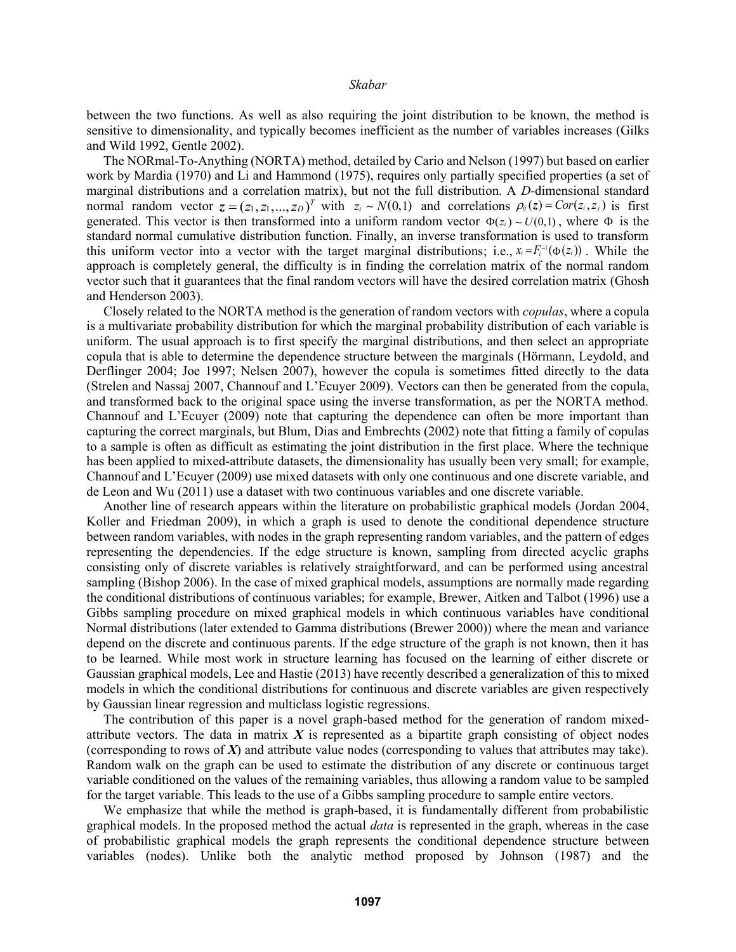between the two functions. As well as also requiring the joint distribution to be known, the method is sensitive to dimensionality, and typically becomes inefficient as the number of variables increases (Gilks and Wild 1992, Gentle 2002).

The NORmal-To-Anything (NORTA) method, detailed by Cario and Nelson (1997) but based on earlier work by Mardia (1970) and Li and Hammond (1975), requires only partially specified properties (a set of marginal distributions and a correlation matrix), but not the full distribution. A *D*-dimensional standard normal random vector  $z = (z_1, z_1, ..., z_D)^T$  with  $z_i \sim N(0,1)$  and correlations  $\rho_{ij}(z) = Cor(z_i, z_j)$  is first generated. This vector is then transformed into a uniform random vector  $\Phi(z_i) \sim U(0,1)$ , where  $\Phi$  is the standard normal cumulative distribution function. Finally, an inverse transformation is used to transform this uniform vector into a vector with the target marginal distributions; i.e.,  $x_i = F_i^{-1}(\Phi(z_i))$ . While the approach is completely general, the difficulty is in finding the correlation matrix of the normal random vector such that it guarantees that the final random vectors will have the desired correlation matrix (Ghosh and Henderson 2003).

Closely related to the NORTA method is the generation of random vectors with *copulas*, where a copula is a multivariate probability distribution for which the marginal probability distribution of each variable is uniform. The usual approach is to first specify the marginal distributions, and then select an appropriate copula that is able to determine the dependence structure between the marginals (Hörmann, Leydold, and Derflinger 2004; Joe 1997; Nelsen 2007), however the copula is sometimes fitted directly to the data (Strelen and Nassaj 2007, Channouf and L'Ecuyer 2009). Vectors can then be generated from the copula, and transformed back to the original space using the inverse transformation, as per the NORTA method. Channouf and L'Ecuyer (2009) note that capturing the dependence can often be more important than capturing the correct marginals, but Blum, Dias and Embrechts (2002) note that fitting a family of copulas to a sample is often as difficult as estimating the joint distribution in the first place. Where the technique has been applied to mixed-attribute datasets, the dimensionality has usually been very small; for example, Channouf and L'Ecuyer (2009) use mixed datasets with only one continuous and one discrete variable, and de Leon and Wu (2011) use a dataset with two continuous variables and one discrete variable.

Another line of research appears within the literature on probabilistic graphical models (Jordan 2004, Koller and Friedman 2009), in which a graph is used to denote the conditional dependence structure between random variables, with nodes in the graph representing random variables, and the pattern of edges representing the dependencies. If the edge structure is known, sampling from directed acyclic graphs consisting only of discrete variables is relatively straightforward, and can be performed using ancestral sampling (Bishop 2006). In the case of mixed graphical models, assumptions are normally made regarding the conditional distributions of continuous variables; for example, Brewer, Aitken and Talbot (1996) use a Gibbs sampling procedure on mixed graphical models in which continuous variables have conditional Normal distributions (later extended to Gamma distributions (Brewer 2000)) where the mean and variance depend on the discrete and continuous parents. If the edge structure of the graph is not known, then it has to be learned. While most work in structure learning has focused on the learning of either discrete or Gaussian graphical models, Lee and Hastie (2013) have recently described a generalization of this to mixed models in which the conditional distributions for continuous and discrete variables are given respectively by Gaussian linear regression and multiclass logistic regressions.

The contribution of this paper is a novel graph-based method for the generation of random mixedattribute vectors. The data in matrix  $X$  is represented as a bipartite graph consisting of object nodes (corresponding to rows of *X*) and attribute value nodes (corresponding to values that attributes may take). Random walk on the graph can be used to estimate the distribution of any discrete or continuous target variable conditioned on the values of the remaining variables, thus allowing a random value to be sampled for the target variable. This leads to the use of a Gibbs sampling procedure to sample entire vectors.

We emphasize that while the method is graph-based, it is fundamentally different from probabilistic graphical models. In the proposed method the actual *data* is represented in the graph, whereas in the case of probabilistic graphical models the graph represents the conditional dependence structure between variables (nodes). Unlike both the analytic method proposed by Johnson (1987) and the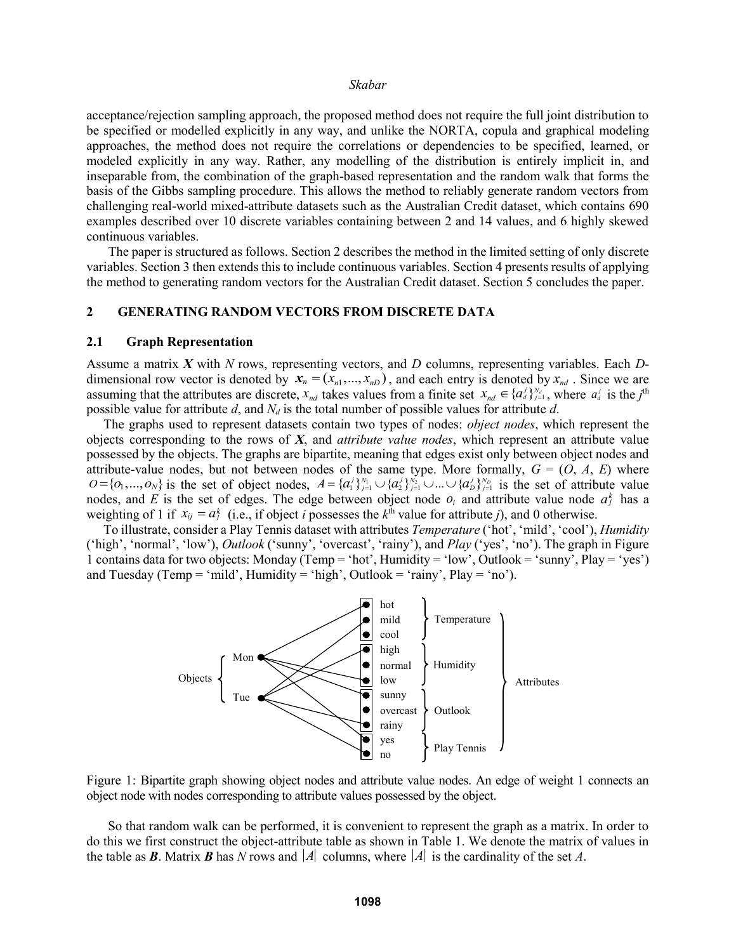acceptance/rejection sampling approach, the proposed method does not require the full joint distribution to be specified or modelled explicitly in any way, and unlike the NORTA, copula and graphical modeling approaches, the method does not require the correlations or dependencies to be specified, learned, or modeled explicitly in any way. Rather, any modelling of the distribution is entirely implicit in, and inseparable from, the combination of the graph-based representation and the random walk that forms the basis of the Gibbs sampling procedure. This allows the method to reliably generate random vectors from challenging real-world mixed-attribute datasets such as the Australian Credit dataset, which contains 690 examples described over 10 discrete variables containing between 2 and 14 values, and 6 highly skewed continuous variables.

The paper is structured as follows. Section 2 describes the method in the limited setting of only discrete variables. Section 3 then extends this to include continuous variables. Section 4 presents results of applying the method to generating random vectors for the Australian Credit dataset. Section 5 concludes the paper.

# **2 GENERATING RANDOM VECTORS FROM DISCRETE DATA**

### **2.1 Graph Representation**

Assume a matrix *X* with *N* rows, representing vectors, and *D* columns, representing variables. Each *D*dimensional row vector is denoted by  $\mathbf{x}_n = (\mathbf{x}_{n1},...,\mathbf{x}_{nD})$ , and each entry is denoted by  $\mathbf{x}_{nd}$ . Since we are assuming that the attributes are discrete,  $x_{nd}$  takes values from a finite set  $x_{nd} \in \{a_d^j\}_{j=1}^{N_d}$ , where  $a_d^j$  is the *j*<sup>th</sup> possible value for attribute *d*, and *N<sup>d</sup>* is the total number of possible values for attribute *d*.

The graphs used to represent datasets contain two types of nodes: *object nodes*, which represent the objects corresponding to the rows of *X*, and *attribute value nodes*, which represent an attribute value possessed by the objects. The graphs are bipartite, meaning that edges exist only between object nodes and attribute-value nodes, but not between nodes of the same type. More formally,  $G = (O, A, E)$  where attribute-value nodes, but not between nodes of the same type. More formally,  $G = (O, A, E)$  where  $O = \{o_1, ..., o_N\}$  is the set of object nodes,  $A = \{a_i^j\}_{j=1}^{N_1} \cup \{a_2^j\}_{j=1}^{N_2} \cup ... \cup \{a_D^j\}_{j=1}^{N_D}$  is the set of attr nodes, and *E* is the set of edges. The edge between object node  $o_i$  and attribute value node  $a_j^k$  has a weighting of 1 if  $x_{ij} = a_j^k$  (i.e., if object *i* possesses the  $k^{\text{th}}$  value for attribute *j*), and 0 otherwise.

To illustrate, consider a Play Tennis dataset with attributes *Temperature* ('hot', 'mild', 'cool'), *Humidity* ('high', 'normal', 'low'), *Outlook* ('sunny', 'overcast', 'rainy'), and *Play* ('yes', 'no'). The graph in Figure 1 contains data for two objects: Monday (Temp = 'hot', Humidity = 'low', Outlook = 'sunny', Play = 'yes') and Tuesday (Temp = 'mild', Humidity = 'high', Outlook = 'rainy', Play = 'no').



Figure 1: Bipartite graph showing object nodes and attribute value nodes. An edge of weight 1 connects an object node with nodes corresponding to attribute values possessed by the object.

So that random walk can be performed, it is convenient to represent the graph as a matrix. In order to do this we first construct the object-attribute table as shown in Table 1. We denote the matrix of values in the table as *B*. Matrix *B* has *N* rows and  $|A|$  columns, where  $|A|$  is the cardinality of the set *A*.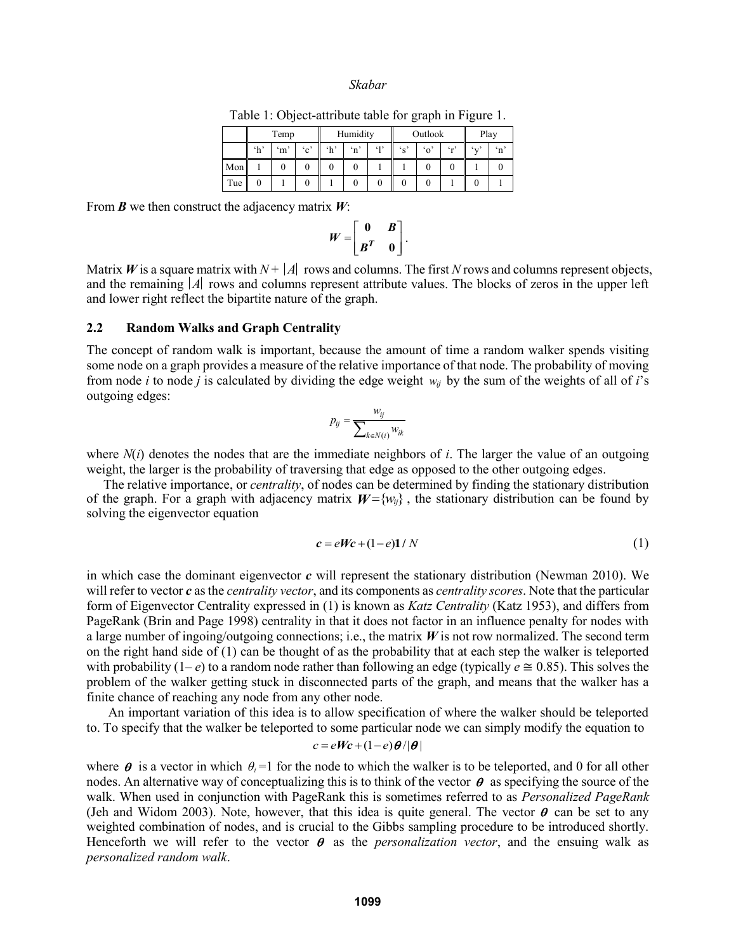|     | Temp |    |           | Humidity     |              |     | Outlook              |                         |        | Play |  |
|-----|------|----|-----------|--------------|--------------|-----|----------------------|-------------------------|--------|------|--|
|     | h    | m' | $\cdot_c$ | $\mathbf{h}$ | $\mathsf{m}$ | 612 | $\mathfrak{c}_{n}$ , | $\mathfrak{c}_{\alpha}$ | $\sim$ |      |  |
| Mon |      |    |           |              |              |     |                      |                         |        |      |  |
| Tue |      |    |           |              |              |     |                      |                         |        |      |  |

Table 1: Object-attribute table for graph in Figure 1.

From *B* we then construct the adjacency matrix *W*:

$$
W = \begin{bmatrix} 0 & B \\ B^T & 0 \end{bmatrix}.
$$

.

Matrix *W* is a square matrix with  $N + |A|$  rows and columns. The first *N* rows and columns represent objects, and the remaining  $|A|$  rows and columns represent attribute values. The blocks of zeros in the upper left and lower right reflect the bipartite nature of the graph.

### **2.2 Random Walks and Graph Centrality**

The concept of random walk is important, because the amount of time a random walker spends visiting some node on a graph provides a measure of the relative importance of that node. The probability of moving from node *i* to node *j* is calculated by dividing the edge weight  $w_{ij}$  by the sum of the weights of all of *i*'s outgoing edges:

$$
p_{ij} = \frac{w_{ij}}{\sum_{k \in N(i)} w_{ik}}
$$

where  $N(i)$  denotes the nodes that are the immediate neighbors of *i*. The larger the value of an outgoing weight, the larger is the probability of traversing that edge as opposed to the other outgoing edges.

The relative importance, or *centrality*, of nodes can be determined by finding the stationary distribution of the graph. For a graph with adjacency matrix  $W = \{w_{ij}\}\$ , the stationary distribution can be found by solving the eigenvector equation

$$
c = eWc + (1 - e)1/N
$$
 (1)

in which case the dominant eigenvector *c* will represent the stationary distribution (Newman 2010). We will refer to vector *c* as the *centrality vector*, and its components as *centrality scores*. Note that the particular form of Eigenvector Centrality expressed in (1) is known as *Katz Centrality* (Katz 1953), and differs from PageRank (Brin and Page 1998) centrality in that it does not factor in an influence penalty for nodes with a large number of ingoing/outgoing connections; i.e., the matrix  $W$  is not row normalized. The second term on the right hand side of (1) can be thought of as the probability that at each step the walker is teleported with probability  $(1-e)$  to a random node rather than following an edge (typically  $e \approx 0.85$ ). This solves the problem of the walker getting stuck in disconnected parts of the graph, and means that the walker has a finite chance of reaching any node from any other node.

An important variation of this idea is to allow specification of where the walker should be teleported to. To specify that the walker be teleported to some particular node we can simply modify the equation to

$$
c = eWc + (1-e)\theta/|\theta|
$$

where  $\theta$  is a vector in which  $\theta_i = 1$  for the node to which the walker is to be teleported, and 0 for all other nodes. An alternative way of conceptualizing this is to think of the vector  $\theta$  as specifying the source of the walk. When used in conjunction with PageRank this is sometimes referred to as *Personalized PageRank* (Jeh and Widom 2003). Note, however, that this idea is quite general. The vector  $\theta$  can be set to any weighted combination of nodes, and is crucial to the Gibbs sampling procedure to be introduced shortly. Henceforth we will refer to the vector  $\theta$  as the *personalization vector*, and the ensuing walk as *personalized random walk*.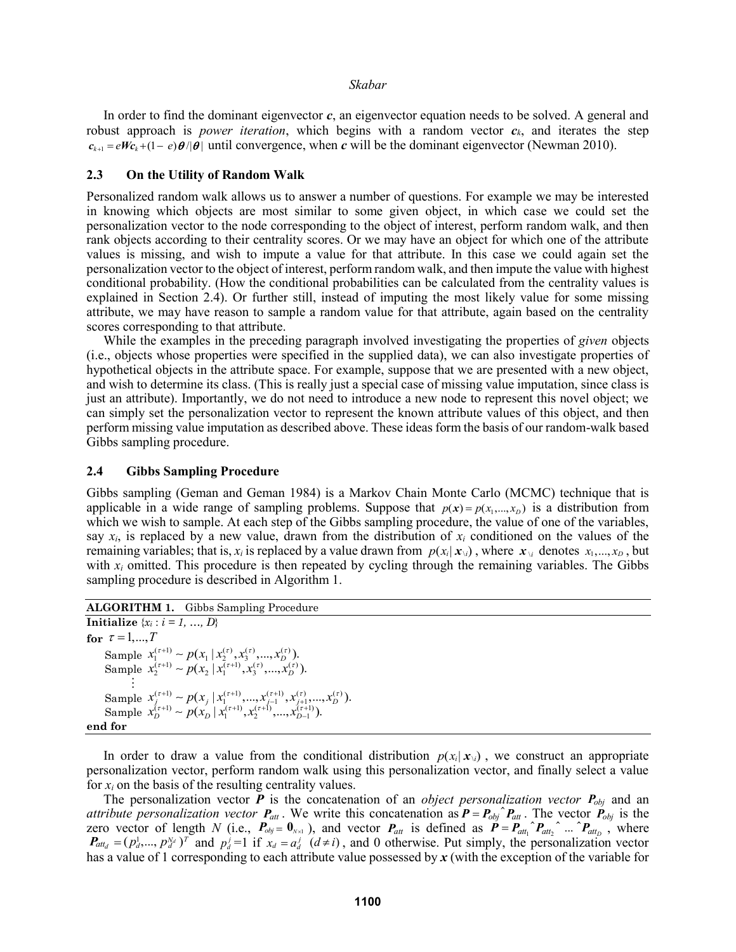In order to find the dominant eigenvector *c*, an eigenvector equation needs to be solved. A general and robust approach is *power iteration*, which begins with a random vector  $c_k$ , and iterates the step  $c_{k+1} = eWc_k + (1 - e)\theta/|\theta|$  until convergence, when *c* will be the dominant eigenvector (Newman 2010).

## **2.3 On the Utility of Random Walk**

Personalized random walk allows us to answer a number of questions. For example we may be interested in knowing which objects are most similar to some given object, in which case we could set the personalization vector to the node corresponding to the object of interest, perform random walk, and then rank objects according to their centrality scores. Or we may have an object for which one of the attribute values is missing, and wish to impute a value for that attribute. In this case we could again set the personalization vector to the object of interest, perform random walk, and then impute the value with highest conditional probability. (How the conditional probabilities can be calculated from the centrality values is explained in Section 2.4). Or further still, instead of imputing the most likely value for some missing attribute, we may have reason to sample a random value for that attribute, again based on the centrality scores corresponding to that attribute.

While the examples in the preceding paragraph involved investigating the properties of *given* objects (i.e., objects whose properties were specified in the supplied data), we can also investigate properties of hypothetical objects in the attribute space. For example, suppose that we are presented with a new object, and wish to determine its class. (This is really just a special case of missing value imputation, since class is just an attribute). Importantly, we do not need to introduce a new node to represent this novel object; we can simply set the personalization vector to represent the known attribute values of this object, and then perform missing value imputation as described above. These ideas form the basis of our random-walk based Gibbs sampling procedure.

### **2.4 Gibbs Sampling Procedure**

Gibbs sampling (Geman and Geman 1984) is a Markov Chain Monte Carlo (MCMC) technique that is applicable in a wide range of sampling problems. Suppose that  $p(x) = p(x_1, ..., x_p)$  is a distribution from which we wish to sample. At each step of the Gibbs sampling procedure, the value of one of the variables, say  $x_i$ , is replaced by a new value, drawn from the distribution of  $x_i$  conditioned on the values of the remaining variables; that is,  $x_i$  is replaced by a value drawn from  $p(x_i | x_{\nu})$ , where  $x_{\nu}$  denotes  $x_1, ..., x_D$ , but with  $x_i$  omitted. This procedure is then repeated by cycling through the remaining variables. The Gibbs sampling procedure is described in Algorithm 1.

# **ALGORITHM 1.** Gibbs Sampling Procedure

**Initialize**  $\{x_i : i = 1, ..., D\}$ for  $\tau = 1,...,T$ Sample  $x_1^{(r+1)} \sim p(x_1 | x_2^{(r)}, x_3^{(r)}, ..., x_D^{(r)})$ . Sample  $x_1^{(r+1)} \sim p(x_1 | x_2, x_3, ..., x_D)$ .<br>Sample  $x_2^{(r+1)} \sim p(x_2 | x_1^{(r+1)}, x_3^{(r)}, ..., x_D^{(r)})$ . Sample  $x_{j_{r-1}}^{(r+1)} \sim p(x_j | x_1^{(r+1)}, ..., x_{j-1}^{(r+1)}, x_{j+1}^{(r)}, ..., x_D^{(r)})$ . Sample  $x_j^2 \sim p(x_j | x_1^2, ..., x_{j-1}^2, x_{j+1}^2, ...$ <br>Sample  $x_D^{(n+1)} \sim p(x_D | x_1^{(n+1)}, x_2^{(n+1)}, ..., x_{D-1}^{(n+1)}).$ **end for**

In order to draw a value from the conditional distribution  $p(x_i | x_{\backslash i})$ , we construct an appropriate personalization vector, perform random walk using this personalization vector, and finally select a value for  $x_i$  on the basis of the resulting centrality values.

The personalization vector  $P$  is the concatenation of an *object personalization vector*  $P_{obj}$  and an *attribute personalization vector*  $P_{at}$ . We write this concatenation as  $P = P_{obj}^T P_{at}$ . The vector  $P_{obj}$  is the zero vector of length N (i.e.,  $P_{obj} = 0_{N \times 1}$ ), and vector  $P_{att}$  is defined as  $P = P_{att_1}^T P_{att_2}^T ... P_{att_p}^T$ , where  $P_{att_1} = (p_d^1, ..., p_d^N_d)^T$  and  $p_d^j = 1$  if  $x_d = a_d^j$   $(d \neq i)$ , and 0 otherwise. Put simply, the personali has a value of 1 corresponding to each attribute value possessed by *x* (with the exception of the variable for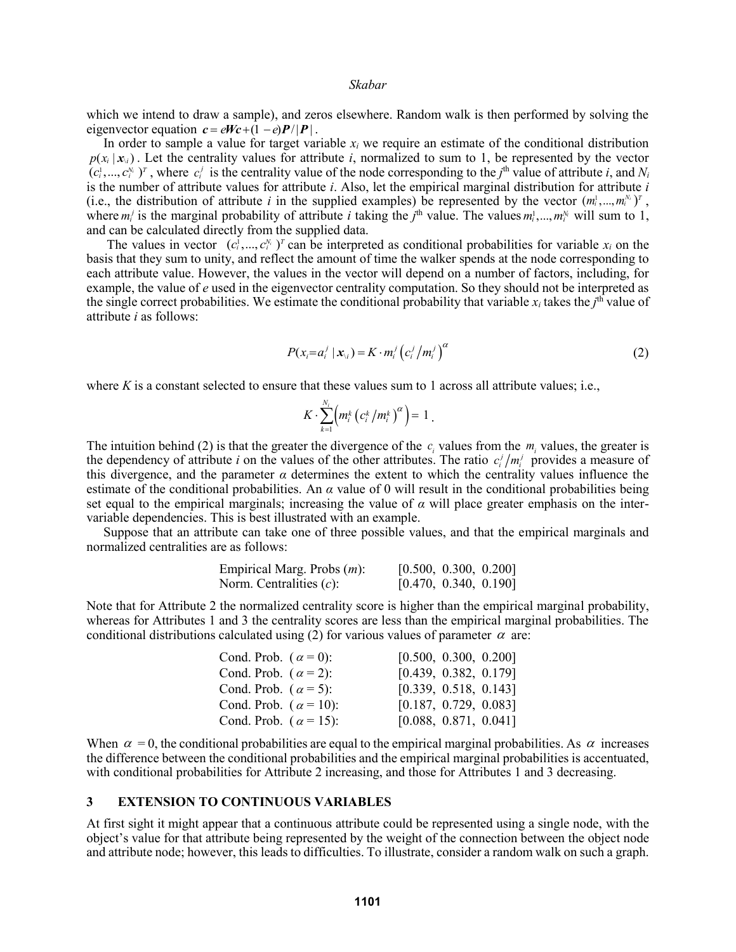which we intend to draw a sample), and zeros elsewhere. Random walk is then performed by solving the eigenvector equation  $\mathbf{c} = eW\mathbf{c} + (1 - e)\mathbf{P}/|\mathbf{P}|$ .

In order to sample a value for target variable  $x_i$  we require an estimate of the conditional distribution  $p(x_i | x_i)$ . Let the centrality values for attribute *i*, normalized to sum to 1, be represented by the vector  $(c_i^1, ..., c_i^{N_i})^T$ , where  $c_i^j$  is the centrality value of the node corresponding to the *j*<sup>th</sup> value of attribute *i*, and  $N_i$ is the number of attribute values for attribute *i*. Also, let the empirical marginal distribution for attribute *i* (i.e., the distribution of attribute *i* in the supplied examples) be represented by the vector  $(m_i^1, ..., m_i^{N_i})^T$ , where  $m_i^j$  is the marginal probability of attribute *i* taking the  $j^{\text{th}}$  value. The values  $m_i^1, ..., m_i^N$  will sum to 1, and can be calculated directly from the supplied data.

The values in vector  $(c_i^1, ..., c_i^N)^T$  can be interpreted as conditional probabilities for variable  $x_i$  on the basis that they sum to unity, and reflect the amount of time the walker spends at the node corresponding to each attribute value. However, the values in the vector will depend on a number of factors, including, for example, the value of *e* used in the eigenvector centrality computation. So they should not be interpreted as the single correct probabilities. We estimate the conditional probability that variable  $x_i$  takes the  $j<sup>th</sup>$  value of attribute *i* as follows:

$$
P(x_i = a_i^j \mid \mathbf{x}_{\backslash i}) = K \cdot m_i^j \left( c_i^j / m_i^j \right)^{\alpha}
$$
 (2)

where  $K$  is a constant selected to ensure that these values sum to 1 across all attribute values; i.e.,

$$
K\cdot\sum_{k=1}^{N_i}\Bigl(m_i^k\left(c_i^k/m_i^k\right)^{\alpha}\Bigr)=1.
$$

The intuition behind (2) is that the greater the divergence of the  $c_i$  values from the  $m_i$  values, the greater is the dependency of attribute *i* on the values of the other attributes. The ratio  $c_i^j / m_i^j$  provides a measure of this divergence, and the parameter  $\alpha$  determines the extent to which the centrality values influence the estimate of the conditional probabilities. An *α* value of 0 will result in the conditional probabilities being set equal to the empirical marginals; increasing the value of  $\alpha$  will place greater emphasis on the intervariable dependencies. This is best illustrated with an example.

Suppose that an attribute can take one of three possible values, and that the empirical marginals and normalized centralities are as follows:

| Empirical Marg. Probs $(m)$ : | [0.500, 0.300, 0.200] |  |
|-------------------------------|-----------------------|--|
| Norm. Centralities $(c)$ :    | [0.470, 0.340, 0.190] |  |

Note that for Attribute 2 the normalized centrality score is higher than the empirical marginal probability, whereas for Attributes 1 and 3 the centrality scores are less than the empirical marginal probabilities. The conditional distributions calculated using (2) for various values of parameter  $\alpha$  are:

| Cond. Prob. $(\alpha = 0)$ :  | [0.500, 0.300, 0.200] |
|-------------------------------|-----------------------|
| Cond. Prob. $(\alpha = 2)$ :  | [0.439, 0.382, 0.179] |
| Cond. Prob. $(\alpha = 5)$ :  | [0.339, 0.518, 0.143] |
| Cond. Prob. $(\alpha = 10)$ : | [0.187, 0.729, 0.083] |
| Cond. Prob. $(\alpha = 15)$ : | [0.088, 0.871, 0.041] |

When  $\alpha = 0$ , the conditional probabilities are equal to the empirical marginal probabilities. As  $\alpha$  increases the difference between the conditional probabilities and the empirical marginal probabilities is accentuated, with conditional probabilities for Attribute 2 increasing, and those for Attributes 1 and 3 decreasing.

# **3 EXTENSION TO CONTINUOUS VARIABLES**

At first sight it might appear that a continuous attribute could be represented using a single node, with the object's value for that attribute being represented by the weight of the connection between the object node and attribute node; however, this leads to difficulties. To illustrate, consider a random walk on such a graph.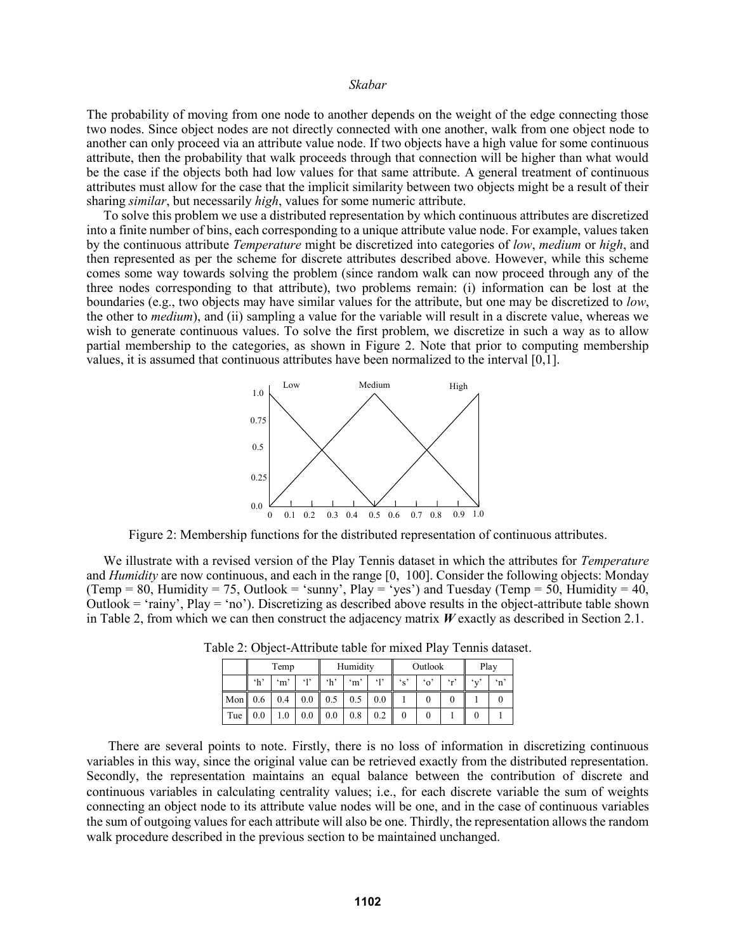The probability of moving from one node to another depends on the weight of the edge connecting those two nodes. Since object nodes are not directly connected with one another, walk from one object node to another can only proceed via an attribute value node. If two objects have a high value for some continuous attribute, then the probability that walk proceeds through that connection will be higher than what would be the case if the objects both had low values for that same attribute. A general treatment of continuous attributes must allow for the case that the implicit similarity between two objects might be a result of their sharing *similar*, but necessarily *high*, values for some numeric attribute.

To solve this problem we use a distributed representation by which continuous attributes are discretized into a finite number of bins, each corresponding to a unique attribute value node. For example, values taken by the continuous attribute *Temperature* might be discretized into categories of *low*, *medium* or *high*, and then represented as per the scheme for discrete attributes described above. However, while this scheme comes some way towards solving the problem (since random walk can now proceed through any of the three nodes corresponding to that attribute), two problems remain: (i) information can be lost at the boundaries (e.g., two objects may have similar values for the attribute, but one may be discretized to *low*, the other to *medium*), and (ii) sampling a value for the variable will result in a discrete value, whereas we wish to generate continuous values. To solve the first problem, we discretize in such a way as to allow partial membership to the categories, as shown in Figure 2. Note that prior to computing membership values, it is assumed that continuous attributes have been normalized to the interval [0,1].



Figure 2: Membership functions for the distributed representation of continuous attributes.

We illustrate with a revised version of the Play Tennis dataset in which the attributes for *Temperature* and *Humidity* are now continuous, and each in the range [0, 100]. Consider the following objects: Monday (Temp = 80, Humidity = 75, Outlook = 'sunny', Play = 'yes') and Tuesday (Temp = 50, Humidity = 40, Outlook = 'rainy', Play = 'no'). Discretizing as described above results in the object-attribute table shown in Table 2, from which we can then construct the adjacency matrix *W* exactly as described in Section 2.1.

|     | Temp |     |     | Humidity |              |     | Outlook       |                       |       | Play   |     |
|-----|------|-----|-----|----------|--------------|-----|---------------|-----------------------|-------|--------|-----|
|     | h    | 'm' | 412 | h'       | $\mathrm{m}$ | 412 | $\mathbf{s}'$ | $\mathbf{O}^{\prime}$ | د _ ، | دیہ کا | 'n' |
| Mon | 0.6  | 0.4 | 0.0 | 0.5      | 0.5          | 0.0 |               |                       |       |        |     |
| Tue | 0.0  | 1.0 | 0.0 | $0.0\,$  | $_{0.8}$     | 0.2 |               |                       |       |        |     |

Table 2: Object-Attribute table for mixed Play Tennis dataset.

There are several points to note. Firstly, there is no loss of information in discretizing continuous variables in this way, since the original value can be retrieved exactly from the distributed representation. Secondly, the representation maintains an equal balance between the contribution of discrete and continuous variables in calculating centrality values; i.e., for each discrete variable the sum of weights connecting an object node to its attribute value nodes will be one, and in the case of continuous variables the sum of outgoing values for each attribute will also be one. Thirdly, the representation allows the random walk procedure described in the previous section to be maintained unchanged.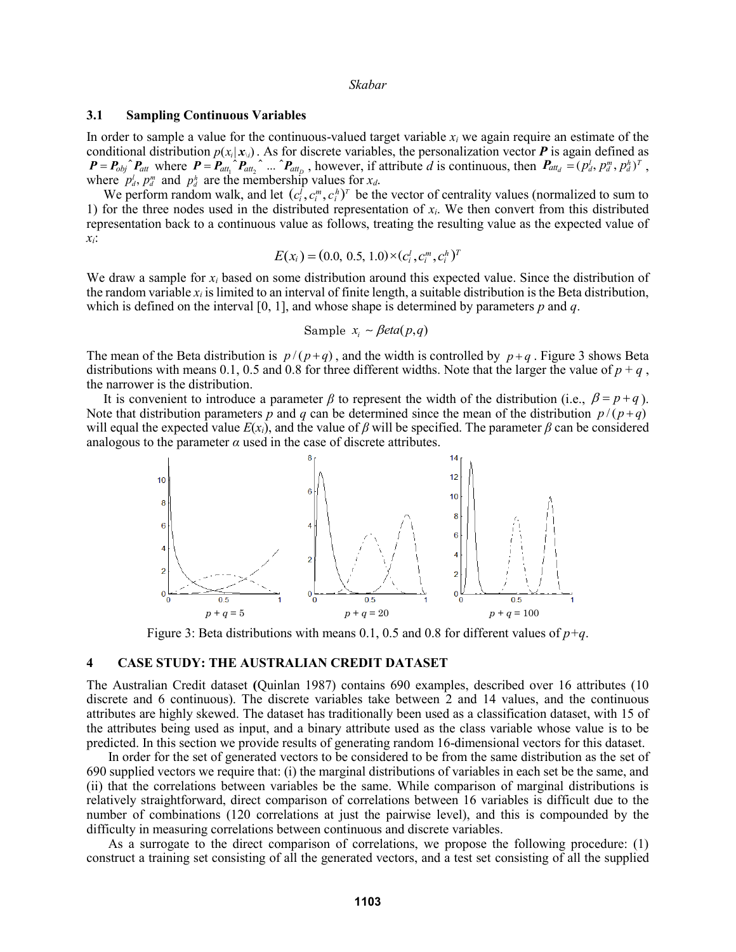## **3.1 Sampling Continuous Variables**

In order to sample a value for the continuous-valued target variable  $x_i$  we again require an estimate of the conditional distribution  $p(x_i | x_{\backslash i})$ . As for discrete variables, the personalization vector  $P$  is again defined as  $\boldsymbol{P} = \boldsymbol{P}_{obj}^{\dagger} \boldsymbol{P}_{att}^{\dagger}$  where  $\boldsymbol{P} = \boldsymbol{P}_{att_1}^{\dagger} \boldsymbol{P}_{att_2}^{\dagger} \hat{\boldsymbol{\Gamma}}_{att_1}^{\dagger}$ , however, if attribute d is continuous, then  $\boldsymbol{P}_{att_d} = (p_d^l, p_d^m, p_d^h)^T$ , where  $p_d^l$ ,  $p_d^m$  and  $p_d^h$  are the membership values for  $x_d$ .

We perform random walk, and let  $(c_i^f, c_i^m, c_i^h)^T$  be the vector of centrality values (normalized to sum to 1) for the three nodes used in the distributed representation of  $x_i$ . We then convert from this distributed representation back to a continuous value as follows, treating the resulting value as the expected value of *xi*:

$$
E(x_i) = (0.0, 0.5, 1.0) \times (c_i^l, c_i^m, c_i^h)^T
$$

We draw a sample for  $x_i$  based on some distribution around this expected value. Since the distribution of the random variable  $x_i$  is limited to an interval of finite length, a suitable distribution is the Beta distribution, which is defined on the interval [0, 1], and whose shape is determined by parameters *p* and *q*.

Sample 
$$
x_i \sim \beta eta(p,q)
$$

The mean of the Beta distribution is  $p/(p+q)$ , and the width is controlled by  $p+q$ . Figure 3 shows Beta distributions with means 0.1, 0.5 and 0.8 for three different widths. Note that the larger the value of  $p + q$ , the narrower is the distribution.

It is convenient to introduce a parameter  $\beta$  to represent the width of the distribution (i.e.,  $\beta = p + q$ ). Note that distribution parameters p and q can be determined since the mean of the distribution  $p/(p+q)$ will equal the expected value  $E(x_i)$ , and the value of  $\beta$  will be specified. The parameter  $\beta$  can be considered analogous to the parameter  $\alpha$  used in the case of discrete attributes.



Figure 3: Beta distributions with means 0.1, 0.5 and 0.8 for different values of  $p+q$ .

## **4 CASE STUDY: THE AUSTRALIAN CREDIT DATASET**

The Australian Credit dataset **(**Quinlan 1987) contains 690 examples, described over 16 attributes (10 discrete and 6 continuous). The discrete variables take between 2 and 14 values, and the continuous attributes are highly skewed. The dataset has traditionally been used as a classification dataset, with 15 of the attributes being used as input, and a binary attribute used as the class variable whose value is to be predicted. In this section we provide results of generating random 16-dimensional vectors for this dataset.

In order for the set of generated vectors to be considered to be from the same distribution as the set of 690 supplied vectors we require that: (i) the marginal distributions of variables in each set be the same, and (ii) that the correlations between variables be the same. While comparison of marginal distributions is relatively straightforward, direct comparison of correlations between 16 variables is difficult due to the number of combinations (120 correlations at just the pairwise level), and this is compounded by the difficulty in measuring correlations between continuous and discrete variables.

As a surrogate to the direct comparison of correlations, we propose the following procedure: (1) construct a training set consisting of all the generated vectors, and a test set consisting of all the supplied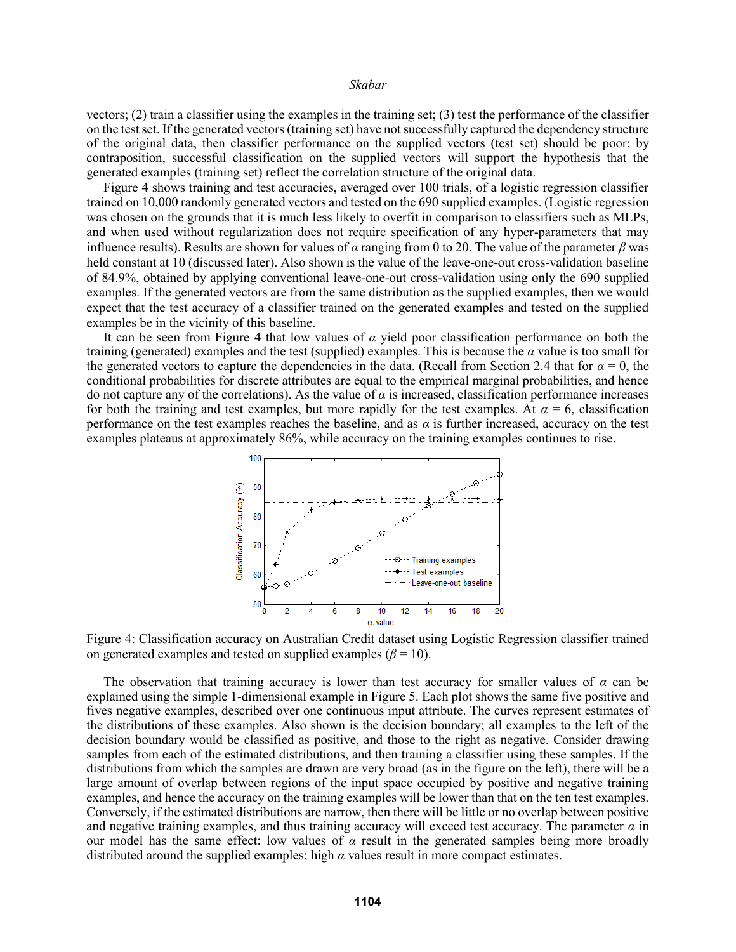vectors; (2) train a classifier using the examples in the training set; (3) test the performance of the classifier on the test set. If the generated vectors (training set) have not successfully captured the dependency structure of the original data, then classifier performance on the supplied vectors (test set) should be poor; by contraposition, successful classification on the supplied vectors will support the hypothesis that the generated examples (training set) reflect the correlation structure of the original data.

Figure 4 shows training and test accuracies, averaged over 100 trials, of a logistic regression classifier trained on 10,000 randomly generated vectors and tested on the 690 supplied examples. (Logistic regression was chosen on the grounds that it is much less likely to overfit in comparison to classifiers such as MLPs, and when used without regularization does not require specification of any hyper-parameters that may influence results). Results are shown for values of *α* ranging from 0 to 20. The value of the parameter *β* was held constant at 10 (discussed later). Also shown is the value of the leave-one-out cross-validation baseline of 84.9%, obtained by applying conventional leave-one-out cross-validation using only the 690 supplied examples. If the generated vectors are from the same distribution as the supplied examples, then we would expect that the test accuracy of a classifier trained on the generated examples and tested on the supplied examples be in the vicinity of this baseline.

It can be seen from Figure 4 that low values of *α* yield poor classification performance on both the training (generated) examples and the test (supplied) examples. This is because the *α* value is too small for the generated vectors to capture the dependencies in the data. (Recall from Section 2.4 that for  $\alpha = 0$ , the conditional probabilities for discrete attributes are equal to the empirical marginal probabilities, and hence do not capture any of the correlations). As the value of *α* is increased, classification performance increases for both the training and test examples, but more rapidly for the test examples. At  $\alpha = 6$ , classification performance on the test examples reaches the baseline, and as  $\alpha$  is further increased, accuracy on the test examples plateaus at approximately 86%, while accuracy on the training examples continues to rise.



Figure 4: Classification accuracy on Australian Credit dataset using Logistic Regression classifier trained on generated examples and tested on supplied examples  $(\beta = 10)$ .

The observation that training accuracy is lower than test accuracy for smaller values of  $\alpha$  can be explained using the simple 1-dimensional example in Figure 5. Each plot shows the same five positive and fives negative examples, described over one continuous input attribute. The curves represent estimates of the distributions of these examples. Also shown is the decision boundary; all examples to the left of the decision boundary would be classified as positive, and those to the right as negative. Consider drawing samples from each of the estimated distributions, and then training a classifier using these samples. If the distributions from which the samples are drawn are very broad (as in the figure on the left), there will be a large amount of overlap between regions of the input space occupied by positive and negative training examples, and hence the accuracy on the training examples will be lower than that on the ten test examples. Conversely, if the estimated distributions are narrow, then there will be little or no overlap between positive and negative training examples, and thus training accuracy will exceed test accuracy. The parameter  $\alpha$  in our model has the same effect: low values of  $\alpha$  result in the generated samples being more broadly distributed around the supplied examples; high *α* values result in more compact estimates.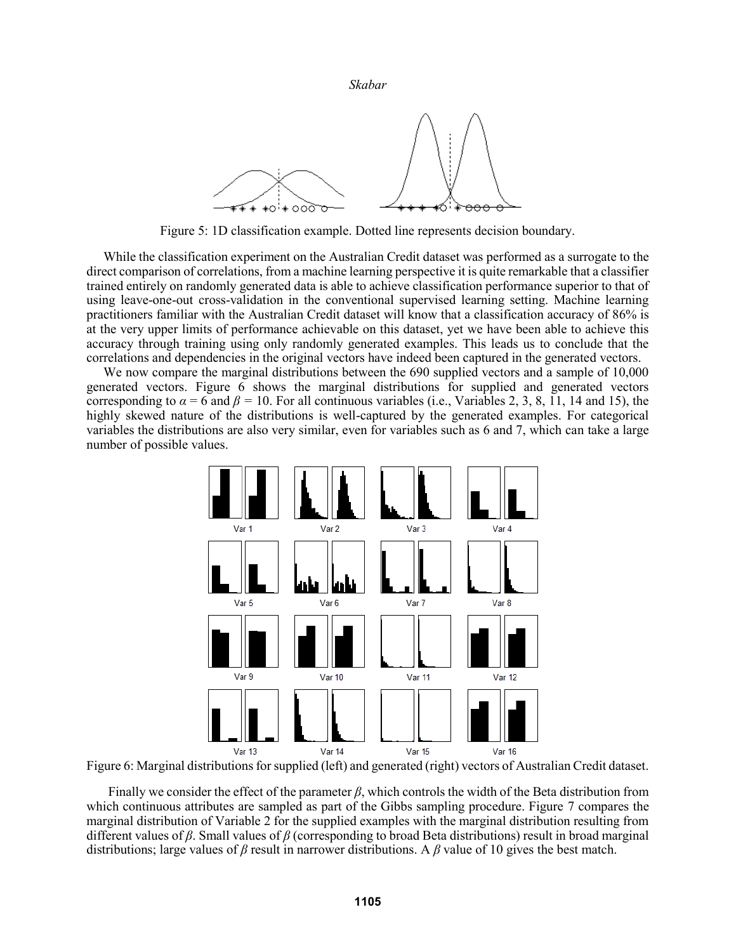

Figure 5: 1D classification example. Dotted line represents decision boundary.

While the classification experiment on the Australian Credit dataset was performed as a surrogate to the direct comparison of correlations, from a machine learning perspective it is quite remarkable that a classifier trained entirely on randomly generated data is able to achieve classification performance superior to that of using leave-one-out cross-validation in the conventional supervised learning setting. Machine learning practitioners familiar with the Australian Credit dataset will know that a classification accuracy of 86% is at the very upper limits of performance achievable on this dataset, yet we have been able to achieve this accuracy through training using only randomly generated examples. This leads us to conclude that the correlations and dependencies in the original vectors have indeed been captured in the generated vectors.

We now compare the marginal distributions between the 690 supplied vectors and a sample of 10,000 generated vectors. Figure 6 shows the marginal distributions for supplied and generated vectors corresponding to  $\alpha = 6$  and  $\beta = 10$ . For all continuous variables (i.e., Variables 2, 3, 8, 11, 14 and 15), the highly skewed nature of the distributions is well-captured by the generated examples. For categorical variables the distributions are also very similar, even for variables such as 6 and 7, which can take a large number of possible values.



Figure 6: Marginal distributions for supplied (left) and generated (right) vectors of Australian Credit dataset.

Finally we consider the effect of the parameter *β*, which controls the width of the Beta distribution from which continuous attributes are sampled as part of the Gibbs sampling procedure. Figure 7 compares the marginal distribution of Variable 2 for the supplied examples with the marginal distribution resulting from different values of *β*. Small values of *β* (corresponding to broad Beta distributions) result in broad marginal distributions; large values of *β* result in narrower distributions. A *β* value of 10 gives the best match.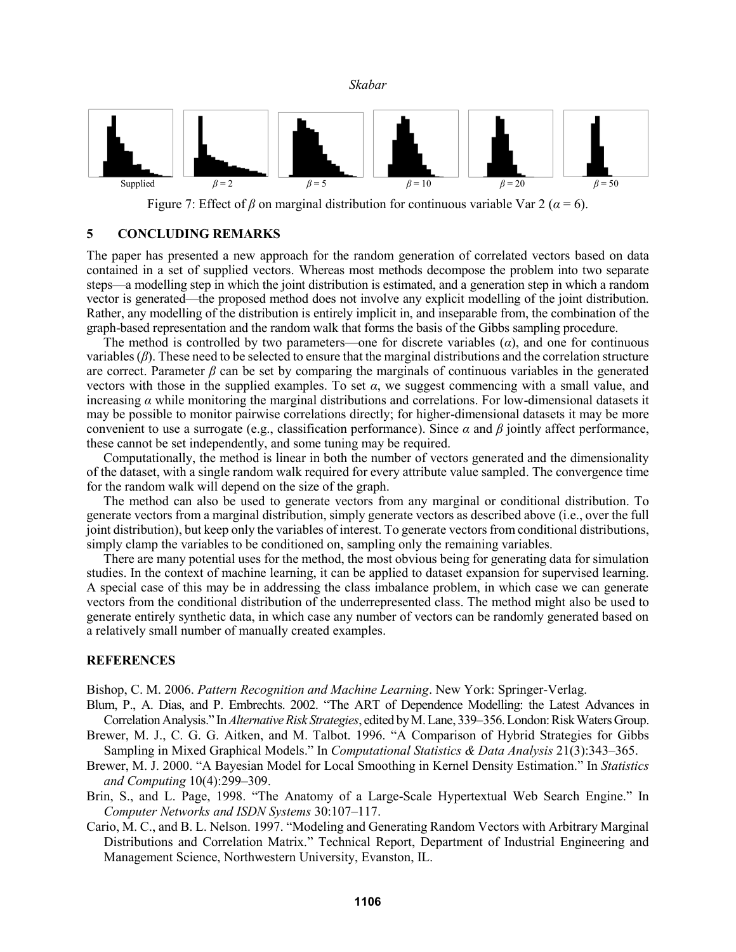



Figure 7: Effect of  $\beta$  on marginal distribution for continuous variable Var 2 ( $\alpha$  = 6).

# **5 CONCLUDING REMARKS**

The paper has presented a new approach for the random generation of correlated vectors based on data contained in a set of supplied vectors. Whereas most methods decompose the problem into two separate steps—a modelling step in which the joint distribution is estimated, and a generation step in which a random vector is generated—the proposed method does not involve any explicit modelling of the joint distribution. Rather, any modelling of the distribution is entirely implicit in, and inseparable from, the combination of the graph-based representation and the random walk that forms the basis of the Gibbs sampling procedure.

The method is controlled by two parameters—one for discrete variables (*α*), and one for continuous variables (*β*). These need to be selected to ensure that the marginal distributions and the correlation structure are correct. Parameter  $\beta$  can be set by comparing the marginals of continuous variables in the generated vectors with those in the supplied examples. To set *α*, we suggest commencing with a small value, and increasing  $\alpha$  while monitoring the marginal distributions and correlations. For low-dimensional datasets it may be possible to monitor pairwise correlations directly; for higher-dimensional datasets it may be more convenient to use a surrogate (e.g., classification performance). Since *α* and *β* jointly affect performance, these cannot be set independently, and some tuning may be required.

Computationally, the method is linear in both the number of vectors generated and the dimensionality of the dataset, with a single random walk required for every attribute value sampled. The convergence time for the random walk will depend on the size of the graph.

The method can also be used to generate vectors from any marginal or conditional distribution. To generate vectors from a marginal distribution, simply generate vectors as described above (i.e., over the full joint distribution), but keep only the variables of interest. To generate vectors from conditional distributions, simply clamp the variables to be conditioned on, sampling only the remaining variables.

There are many potential uses for the method, the most obvious being for generating data for simulation studies. In the context of machine learning, it can be applied to dataset expansion for supervised learning. A special case of this may be in addressing the class imbalance problem, in which case we can generate vectors from the conditional distribution of the underrepresented class. The method might also be used to generate entirely synthetic data, in which case any number of vectors can be randomly generated based on a relatively small number of manually created examples.

# **REFERENCES**

Bishop, C. M. 2006. *Pattern Recognition and Machine Learning*. New York: Springer-Verlag.

- Blum, P., A. Dias, and P. Embrechts. 2002. "The ART of Dependence Modelling: the Latest Advances in Correlation Analysis." In*Alternative Risk Strategies*, edited by M. Lane, 339–356.London: Risk Waters Group.
- Brewer, M. J., C. G. G. Aitken, and M. Talbot. 1996. "A Comparison of Hybrid Strategies for Gibbs Sampling in Mixed Graphical Models." In *Computational Statistics & Data Analysis* 21(3):343–365.
- Brewer, M. J. 2000. "A Bayesian Model for Local Smoothing in Kernel Density Estimation." In *Statistics and Computing* 10(4):299–309.
- Brin, S., and L. Page, 1998. "The Anatomy of a Large-Scale Hypertextual Web Search Engine." In *Computer Networks and ISDN Systems* 30:107–117.
- Cario, M. C., and B. L. Nelson. 1997. "Modeling and Generating Random Vectors with Arbitrary Marginal Distributions and Correlation Matrix." Technical Report, Department of Industrial Engineering and Management Science, Northwestern University, Evanston, IL.